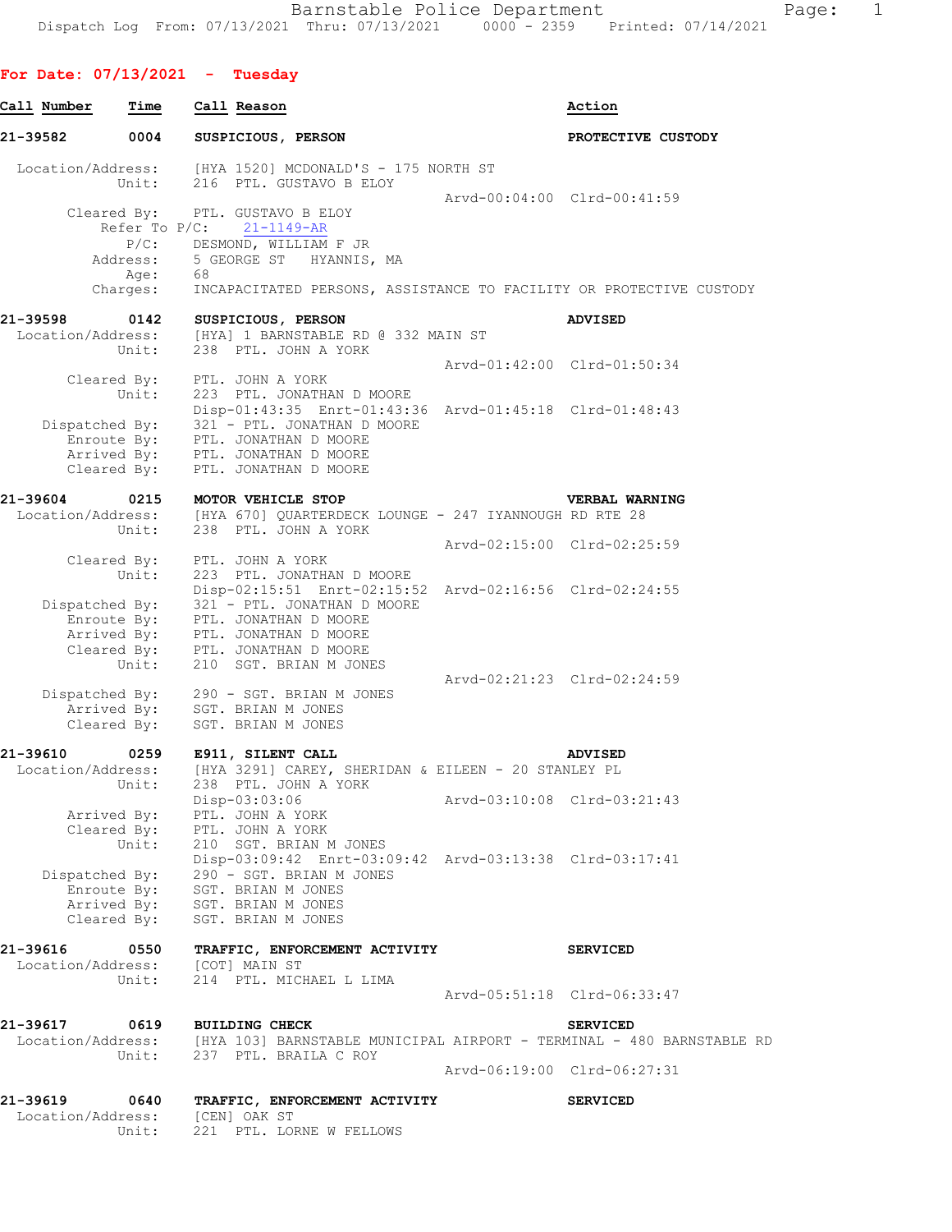## **For Date: 07/13/2021 - Tuesday**

| Call Number       | Time             |    | Call Reason                                                                                         |                             | Action                                                                                                                 |
|-------------------|------------------|----|-----------------------------------------------------------------------------------------------------|-----------------------------|------------------------------------------------------------------------------------------------------------------------|
| 21-39582          | 0004             |    | SUSPICIOUS, PERSON                                                                                  |                             | PROTECTIVE CUSTODY                                                                                                     |
| Location/Address: | Unit:            |    | [HYA 1520] MCDONALD'S - 175 NORTH ST<br>216 PTL. GUSTAVO B ELOY                                     |                             |                                                                                                                        |
|                   |                  |    |                                                                                                     | Arvd-00:04:00 Clrd-00:41:59 |                                                                                                                        |
|                   |                  |    | Cleared By: PTL. GUSTAVO B ELOY                                                                     |                             |                                                                                                                        |
|                   | Refer To P/C:    |    | $21 - 1149 - AR$                                                                                    |                             |                                                                                                                        |
|                   |                  |    | P/C: DESMOND, WILLIAM F JR                                                                          |                             |                                                                                                                        |
|                   | Address:         |    | 5 GEORGE ST HYANNIS, MA                                                                             |                             |                                                                                                                        |
|                   | Age:<br>Charges: | 68 | INCAPACITATED PERSONS, ASSISTANCE TO FACILITY OR PROTECTIVE CUSTODY                                 |                             |                                                                                                                        |
| 21-39598          |                  |    |                                                                                                     |                             |                                                                                                                        |
| Location/Address: | 0142             |    | SUSPICIOUS, PERSON<br>[HYA] 1 BARNSTABLE RD @ 332 MAIN ST                                           |                             | <b>ADVISED</b>                                                                                                         |
|                   | Unit:            |    | 238 PTL. JOHN A YORK                                                                                |                             |                                                                                                                        |
|                   |                  |    |                                                                                                     | Arvd-01:42:00 Clrd-01:50:34 |                                                                                                                        |
|                   | Cleared By:      |    | PTL. JOHN A YORK                                                                                    |                             |                                                                                                                        |
|                   | Unit:            |    | 223 PTL. JONATHAN D MOORE                                                                           |                             |                                                                                                                        |
|                   |                  |    | Disp-01:43:35 Enrt-01:43:36 Arvd-01:45:18 Clrd-01:48:43                                             |                             |                                                                                                                        |
| Dispatched By:    |                  |    | 321 - PTL. JONATHAN D MOORE                                                                         |                             |                                                                                                                        |
|                   |                  |    | Enroute By: PTL. JONATHAN D MOORE                                                                   |                             |                                                                                                                        |
|                   |                  |    | Arrived By: PTL. JONATHAN D MOORE                                                                   |                             |                                                                                                                        |
|                   | Cleared By:      |    | PTL. JONATHAN D MOORE                                                                               |                             |                                                                                                                        |
| 21-39604          | 0215             |    |                                                                                                     |                             | VERBAL WARNING                                                                                                         |
|                   |                  |    | MOTOR VEHICLE STOP<br>Location/Address: [HYA 670] QUARTERDECK LOUNGE - 247 IYANNOUGH RD RTE 28      |                             |                                                                                                                        |
|                   | Unit:            |    | 238 PTL. JOHN A YORK                                                                                |                             |                                                                                                                        |
|                   |                  |    |                                                                                                     | Arvd-02:15:00 Clrd-02:25:59 |                                                                                                                        |
|                   | Cleared By:      |    | PTL. JOHN A YORK                                                                                    |                             |                                                                                                                        |
|                   | Unit:            |    | 223 PTL. JONATHAN D MOORE                                                                           |                             |                                                                                                                        |
|                   |                  |    | Disp-02:15:51 Enrt-02:15:52 Arvd-02:16:56 Clrd-02:24:55                                             |                             |                                                                                                                        |
|                   |                  |    | Dispatched By: 321 - PTL. JONATHAN D MOORE                                                          |                             |                                                                                                                        |
|                   | Enroute By:      |    | PTL. JONATHAN D MOORE                                                                               |                             |                                                                                                                        |
|                   |                  |    | Arrived By: PTL. JONATHAN D MOORE                                                                   |                             |                                                                                                                        |
|                   |                  |    | Cleared By: PTL. JONATHAN D MOORE                                                                   |                             |                                                                                                                        |
|                   | Unit:            |    | 210 SGT. BRIAN M JONES                                                                              | Arvd-02:21:23 Clrd-02:24:59 |                                                                                                                        |
| Dispatched By:    |                  |    | 290 - SGT. BRIAN M JONES                                                                            |                             |                                                                                                                        |
|                   |                  |    | Arrived By: SGT. BRIAN M JONES                                                                      |                             |                                                                                                                        |
|                   | Cleared By:      |    | SGT. BRIAN M JONES                                                                                  |                             |                                                                                                                        |
|                   |                  |    |                                                                                                     |                             |                                                                                                                        |
| 21-39610          |                  |    | 0259 E911, SILENT CALL                                                                              |                             | <b>ADVISED</b>                                                                                                         |
|                   |                  |    | Location/Address: [HYA 3291] CAREY, SHERIDAN & EILEEN - 20 STANLEY PL<br>Unit: 238 PTL, JOHN A YORK |                             |                                                                                                                        |
|                   | Unit:            |    | 238 PTL. JOHN A YORK                                                                                |                             |                                                                                                                        |
|                   |                  |    | Disp-03:03:06                                                                                       | Arvd-03:10:08 Clrd-03:21:43 |                                                                                                                        |
|                   | Arrived By:      |    | PTL. JOHN A YORK<br>Cleared By: PTL. JOHN A YORK                                                    |                             |                                                                                                                        |
|                   | Unit:            |    | 210 SGT. BRIAN M JONES                                                                              |                             |                                                                                                                        |
|                   |                  |    | Disp-03:09:42 Enrt-03:09:42 Arvd-03:13:38 Clrd-03:17:41                                             |                             |                                                                                                                        |
| Dispatched By:    |                  |    | 290 - SGT. BRIAN M JONES                                                                            |                             |                                                                                                                        |
|                   | Enroute By:      |    | SGT. BRIAN M JONES                                                                                  |                             |                                                                                                                        |
|                   |                  |    | Arrived By: SGT. BRIAN M JONES                                                                      |                             |                                                                                                                        |
|                   | Cleared By:      |    | SGT. BRIAN M JONES                                                                                  |                             |                                                                                                                        |
| 21-39616          | 0550             |    | TRAFFIC, ENFORCEMENT ACTIVITY                                                                       |                             | <b>SERVICED</b>                                                                                                        |
| Location/Address: |                  |    | [COT] MAIN ST                                                                                       |                             |                                                                                                                        |
|                   | Unit:            |    | 214 PTL. MICHAEL L LIMA                                                                             |                             |                                                                                                                        |
|                   |                  |    |                                                                                                     | Arvd-05:51:18 Clrd-06:33:47 |                                                                                                                        |
| 21-39617          | 0619             |    | <b>BUILDING CHECK</b>                                                                               |                             | <b>SERVICED</b>                                                                                                        |
|                   |                  |    |                                                                                                     |                             |                                                                                                                        |
|                   |                  |    |                                                                                                     |                             | Location/Address: [HYA 103] BARNSTABLE MUNICIPAL AIRPORT - TERMINAL - 480 BARNSTABLE RD<br>Unit: 237 PTL. BRAILA C ROY |
|                   |                  |    |                                                                                                     | Arvd-06:19:00 Clrd-06:27:31 |                                                                                                                        |
|                   |                  |    |                                                                                                     |                             |                                                                                                                        |
| 21-39619          | 0640             |    | TRAFFIC, ENFORCEMENT ACTIVITY                                                                       |                             | <b>SERVICED</b>                                                                                                        |
| Location/Address: |                  |    | [CEN] OAK ST                                                                                        |                             |                                                                                                                        |
|                   | Unit:            |    | 221 PTL. LORNE W FELLOWS                                                                            |                             |                                                                                                                        |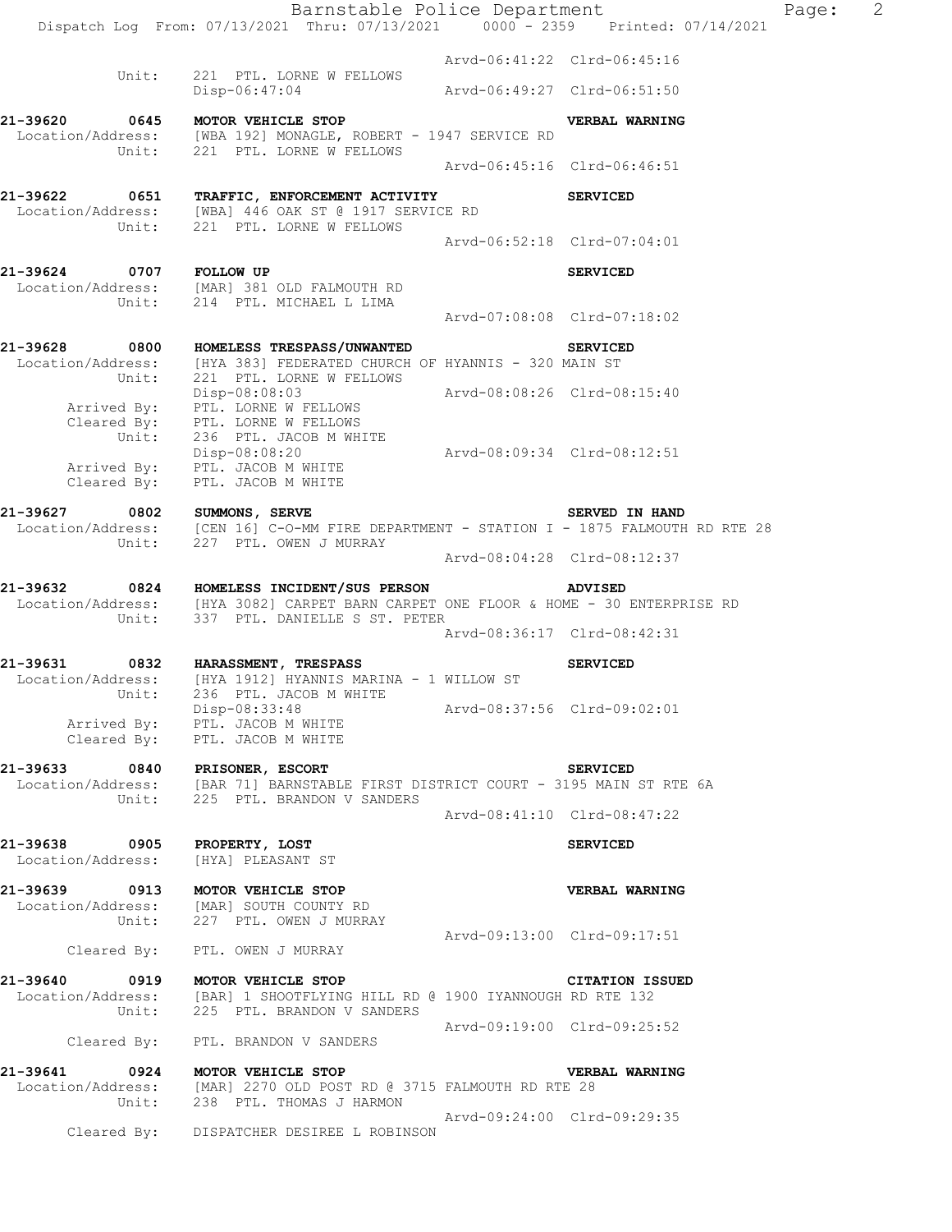Barnstable Police Department Page: 2 Dispatch Log From: 07/13/2021 Thru: 07/13/2021 0000 - 2359 Printed: 07/14/2021 Arvd-06:41:22 Clrd-06:45:16 Unit: 221 PTL. LORNE W FELLOWS Disp-06:47:04 Arvd-06:49:27 Clrd-06:51:50 **21-39620 0645 MOTOR VEHICLE STOP VERBAL WARNING**  Location/Address: [WBA 192] MONAGLE, ROBERT - 1947 SERVICE RD Unit: 221 PTL. LORNE W FELLOWS Arvd-06:45:16 Clrd-06:46:51 **21-39622 0651 TRAFFIC, ENFORCEMENT ACTIVITY SERVICED**  Location/Address: [WBA] 446 OAK ST @ 1917 SERVICE RD Unit: 221 PTL. LORNE W FELLOWS Arvd-06:52:18 Clrd-07:04:01 **21-39624 0707 FOLLOW UP SERVICED**  Location/Address: [MAR] 381 OLD FALMOUTH RD Unit: 214 PTL. MICHAEL L LIMA Arvd-07:08:08 Clrd-07:18:02 **21-39628 0800 HOMELESS TRESPASS/UNWANTED SERVICED**  Location/Address: [HYA 383] FEDERATED CHURCH OF HYANNIS - 320 MAIN ST Unit: 221 PTL. LORNE W FELLOWS Disp-08:08:03 Arvd-08:08:26 Clrd-08:15:40 Arrived By: PTL. LORNE W FELLOWS Cleared By: PTL. LORNE W FELLOWS Unit: 236 PTL. JACOB M WHITE Disp-08:08:20 Arvd-08:09:34 Clrd-08:12:51 Arrived By: PTL. JACOB M WHITE Cleared By: PTL. JACOB M WHITE 21-39627 0802 SUMMONS, SERVE **SUMMONS, SERVED SERVED IN HAND** Location/Address: [CEN 16] C-O-MM FIRE DEPARTMENT - STATION I - 1875 FALMOUTH RD RTE 28 Unit: 227 PTL. OWEN J MURRAY Arvd-08:04:28 Clrd-08:12:37 **21-39632 0824 HOMELESS INCIDENT/SUS PERSON ADVISED**  Location/Address: [HYA 3082] CARPET BARN CARPET ONE FLOOR & HOME - 30 ENTERPRISE RD Unit: 337 PTL. DANIELLE S ST. PETER Arvd-08:36:17 Clrd-08:42:31 **21-39631 0832 HARASSMENT, TRESPASS SERVICED**  Location/Address: [HYA 1912] HYANNIS MARINA - 1 WILLOW ST Unit: 236 PTL. JACOB M WHITE Disp-08:33:48 Arvd-08:37:56 Clrd-09:02:01 Arrived By: PTL. JACOB M WHITE Cleared By: PTL. JACOB M WHITE **21-39633 0840 PRISONER, ESCORT SERVICED**  Location/Address: [BAR 71] BARNSTABLE FIRST DISTRICT COURT - 3195 MAIN ST RTE 6A Unit: 225 PTL. BRANDON V SANDERS Arvd-08:41:10 Clrd-08:47:22 **21-39638 0905 PROPERTY, LOST SERVICED**  Location/Address: [HYA] PLEASANT ST **21-39639 0913 MOTOR VEHICLE STOP VERBAL WARNING**  Location/Address: [MAR] SOUTH COUNTY RD Unit: 227 PTL. OWEN J MURRAY Arvd-09:13:00 Clrd-09:17:51 Cleared By: PTL. OWEN J MURRAY **21-39640 0919 MOTOR VEHICLE STOP CITATION ISSUED**  Location/Address: [BAR] 1 SHOOTFLYING HILL RD @ 1900 IYANNOUGH RD RTE 132 Unit: 225 PTL. BRANDON V SANDERS Arvd-09:19:00 Clrd-09:25:52 Cleared By: PTL. BRANDON V SANDERS **21-39641 0924 MOTOR VEHICLE STOP VERBAL WARNING**  Location/Address: [MAR] 2270 OLD POST RD @ 3715 FALMOUTH RD RTE 28 Unit: 238 PTL. THOMAS J HARMON Arvd-09:24:00 Clrd-09:29:35 Cleared By: DISPATCHER DESIREE L ROBINSON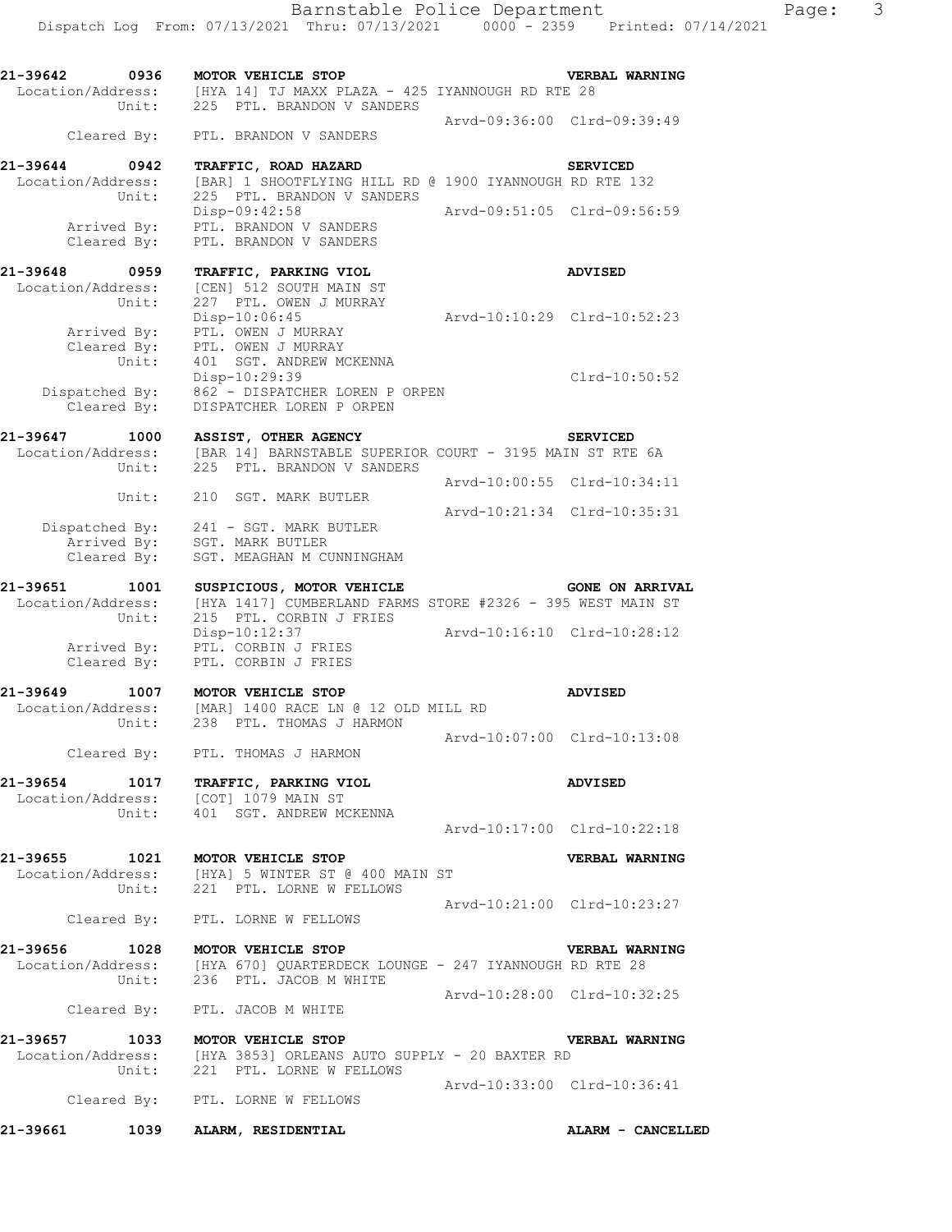| 21-39642                           | 0936                                | MOTOR VEHICLE STOP<br>Location/Address: [HYA 14] TJ MAXX PLAZA - 425 IYANNOUGH RD RTE 28<br>Unit: 225 PTL. BRANDON V SANDERS                         |                             | VERBAL WARNING         |
|------------------------------------|-------------------------------------|------------------------------------------------------------------------------------------------------------------------------------------------------|-----------------------------|------------------------|
|                                    |                                     | Cleared By: PTL. BRANDON V SANDERS                                                                                                                   | Arvd-09:36:00 Clrd-09:39:49 |                        |
| 21-39644 0942<br>Location/Address: |                                     | TRAFFIC, ROAD HAZARD<br>[BAR] 1 SHOOTFLYING HILL RD @ 1900 IYANNOUGH RD RTE 132                                                                      |                             | <b>SERVICED</b>        |
|                                    | Unit:<br>Arrived By:<br>Cleared By: | 225 PTL. BRANDON V SANDERS<br>Disp-09:42:58<br>PTL. BRANDON V SANDERS<br>PTL. BRANDON V SANDERS                                                      | Arvd-09:51:05 Clrd-09:56:59 |                        |
| 21-39648 0959                      |                                     | TRAFFIC, PARKING VIOL                                                                                                                                |                             | <b>ADVISED</b>         |
| Location/Address:                  | Unit:                               | [CEN] 512 SOUTH MAIN ST<br>227 PTL. OWEN J MURRAY<br>$Disp-10:06:45$                                                                                 | Arvd-10:10:29 Clrd-10:52:23 |                        |
|                                    | Arrived By:<br>Unit:                | PTL. OWEN J MURRAY<br>Cleared By: PTL. OWEN J MURRAY<br>401 SGT. ANDREW MCKENNA                                                                      |                             |                        |
|                                    |                                     | Disp-10:29:39<br>Dispatched By: 862 - DISPATCHER LOREN P ORPEN<br>Cleared By: DISPATCHER LOREN P ORPEN                                               |                             | Clrd-10:50:52          |
| 21-39647 1000                      |                                     | <b>ASSIST, OTHER AGENCY</b><br>Location/Address: [BAR 14] BARNSTABLE SUPERIOR COURT - 3195 MAIN ST RTE 6A                                            |                             | <b>SERVICED</b>        |
|                                    | Unit:                               | 225 PTL. BRANDON V SANDERS                                                                                                                           | Arvd-10:00:55 Clrd-10:34:11 |                        |
|                                    | Unit:                               | 210 SGT. MARK BUTLER                                                                                                                                 | Arvd-10:21:34 Clrd-10:35:31 |                        |
|                                    | Dispatched By:<br>Cleared By:       | 241 - SGT. MARK BUTLER<br>Arrived By: SGT. MARK BUTLER<br>SGT. MEAGHAN M CUNNINGHAM                                                                  |                             |                        |
| 21-39651 1001<br>Location/Address: | Unit:                               | SUSPICIOUS, MOTOR VEHICLE<br>[HYA 1417] CUMBERLAND FARMS STORE #2326 - 395 WEST MAIN ST<br>215 PTL. CORBIN J FRIES                                   |                             | <b>GONE ON ARRIVAL</b> |
|                                    | Arrived By:<br>Cleared By:          | Disp-10:12:37<br>PTL. CORBIN J FRIES<br>PTL. CORBIN J FRIES                                                                                          | Arvd-10:16:10 Clrd-10:28:12 |                        |
| 21-39649                           |                                     | 1007 MOTOR VEHICLE STOP                                                                                                                              |                             | <b>ADVISED</b>         |
|                                    |                                     | Location/Address: [MAR] 1400 RACE LN @ 12 OLD MILL RD<br>Unit: 238 PTL. THOMAS J HARMON                                                              |                             |                        |
|                                    | Cleared By:                         | PTL. THOMAS J HARMON                                                                                                                                 | Arvd-10:07:00 Clrd-10:13:08 |                        |
|                                    |                                     | 21-39654 1017 TRAFFIC, PARKING VIOL<br>Location/Address: [COT] 1079 MAIN ST<br>Unit: 401 SGT. ANDREW MCKENNA                                         |                             | <b>ADVISED</b>         |
|                                    |                                     |                                                                                                                                                      | Arvd-10:17:00 Clrd-10:22:18 |                        |
|                                    |                                     | 21-39655 1021 MOTOR VEHICLE STOP<br>Location/Address: [HYA] 5 WINTER ST @ 400 MAIN ST<br>Unit: 221 PTL. LORNE W FELLOWS                              |                             | <b>VERBAL WARNING</b>  |
|                                    |                                     | Cleared By: PTL. LORNE W FELLOWS                                                                                                                     | Arvd-10:21:00 Clrd-10:23:27 |                        |
|                                    |                                     | 21-39656 1028 MOTOR VEHICLE STOP VERBAL WAR Location/Address: [HYA 670] QUARTERDECK LOUNGE - 247 IYANNOUGH RD RTE 28<br>Unit: 236 PTL. JACOB M WHITE |                             | <b>VERBAL WARNING</b>  |
|                                    |                                     | Cleared By: PTL. JACOB M WHITE                                                                                                                       | Arvd-10:28:00 Clrd-10:32:25 |                        |
|                                    |                                     | 21-39657 1033 MOTOR VEHICLE STOP                                                                                                                     |                             | VERBAL WARNING         |
|                                    |                                     | Location/Address: [HYA 3853] ORLEANS AUTO SUPPLY - 20 BAXTER RD<br>Unit: 221 PTL. LORNE W FELLOWS                                                    |                             |                        |
|                                    |                                     | Cleared By: PTL. LORNE W FELLOWS                                                                                                                     | Arvd-10:33:00 Clrd-10:36:41 |                        |
| 21-39661                           |                                     | 1039 ALARM, RESIDENTIAL                                                                                                                              |                             | ALARM - CANCELLED      |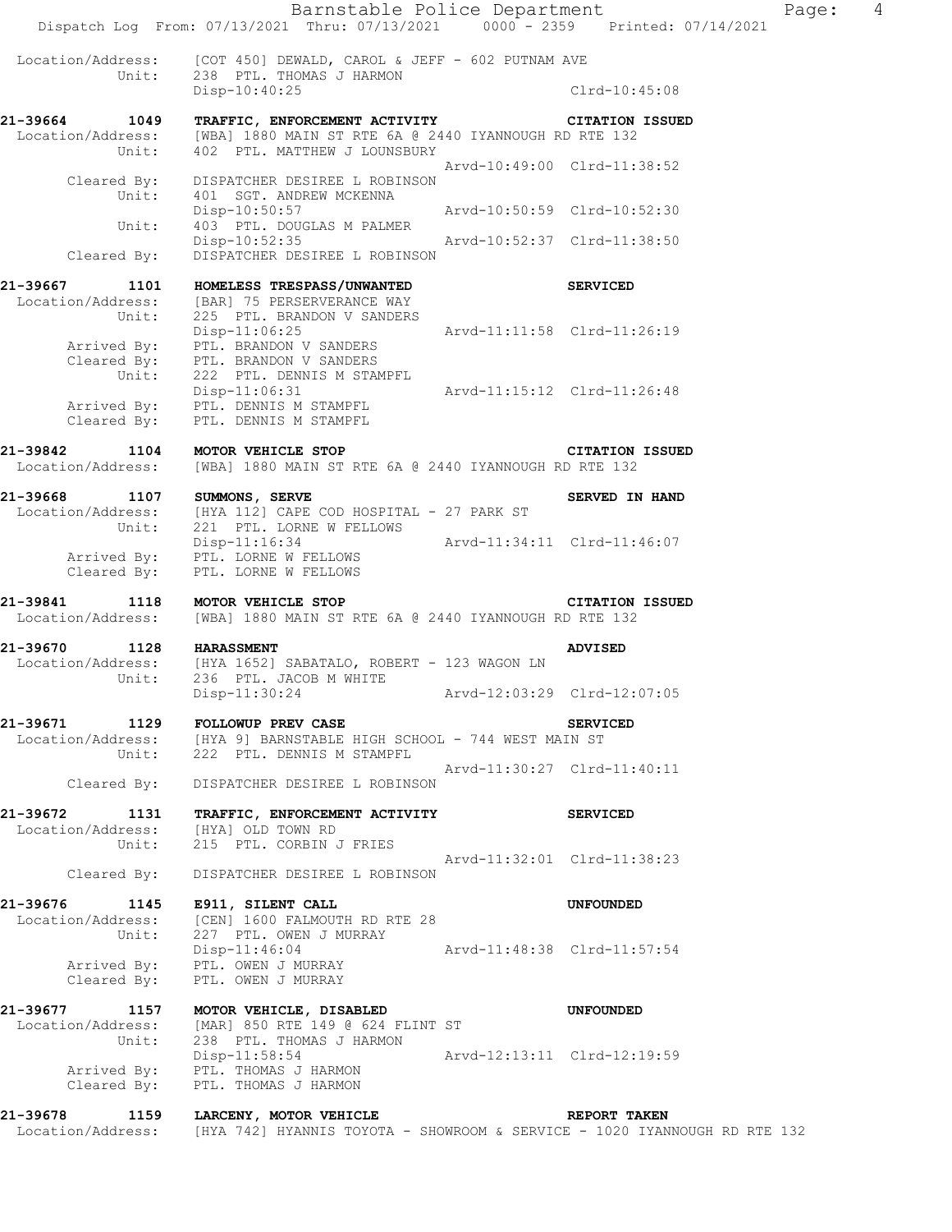Barnstable Police Department Fage: 4 Dispatch Log From: 07/13/2021 Thru: 07/13/2021 0000 - 2359 Printed: 07/14/2021 Location/Address: [COT 450] DEWALD, CAROL & JEFF - 602 PUTNAM AVE Unit: 238 PTL. THOMAS J HARMON Disp-10:40:25 Clrd-10:45:08 **21-39664 1049 TRAFFIC, ENFORCEMENT ACTIVITY CITATION ISSUED**  Location/Address: [WBA] 1880 MAIN ST RTE 6A @ 2440 IYANNOUGH RD RTE 132 Unit: 402 PTL. MATTHEW J LOUNSBURY Arvd-10:49:00 Clrd-11:38:52 Cleared By: DISPATCHER DESIREE L ROBINSON Unit: 401 SGT. ANDREW MCKENNA<br>Disp-10:50:57 Disp-10:50:57 Arvd-10:50:59 Clrd-10:52:30 Unit: 403 PTL. DOUGLAS M PALMER Disp-10:52:35 Arvd-10:52:37 Clrd-11:38:50 Cleared By: DISPATCHER DESIREE L ROBINSON **21-39667 1101 HOMELESS TRESPASS/UNWANTED SERVICED**  Location/Address: [BAR] 75 PERSERVERANCE WAY Unit: 225 PTL. BRANDON V SANDERS Disp-11:06:25 Arvd-11:11:58 Clrd-11:26:19 Arrived By: PTL. BRANDON V SANDERS Cleared By: PTL. BRANDON V SANDERS Unit: 222 PTL. DENNIS M STAMPFL Disp-11:06:31 Arvd-11:15:12 Clrd-11:26:48 Arrived By: PTL. DENNIS M STAMPFL Cleared By: PTL. DENNIS M STAMPFL **21-39842 1104 MOTOR VEHICLE STOP CITATION ISSUED**  Location/Address: [WBA] 1880 MAIN ST RTE 6A @ 2440 IYANNOUGH RD RTE 132 21-39668 1107 SUMMONS, SERVE **1107 SUMMONS**, SERVE Location/Address: [HYA 112] CAPE COD HOSPITAL - 27 PARK ST Unit: 221 PTL. LORNE W FELLOWS Disp-11:16:34 Arvd-11:34:11 Clrd-11:46:07 Arrived By: PTL. LORNE W FELLOWS Cleared By: PTL. LORNE W FELLOWS **21-39841 1118 MOTOR VEHICLE STOP CITATION ISSUED**  Location/Address: [WBA] 1880 MAIN ST RTE 6A @ 2440 IYANNOUGH RD RTE 132 **21-39670 1128 HARASSMENT ADVISED**  Location/Address: [HYA 1652] SABATALO, ROBERT - 123 WAGON LN Unit: 236 PTL. JACOB M WHITE Disp-11:30:24 Arvd-12:03:29 Clrd-12:07:05 **21-39671 1129 FOLLOWUP PREV CASE SERVICED**  Location/Address: [HYA 9] BARNSTABLE HIGH SCHOOL - 744 WEST MAIN ST Unit: 222 PTL. DENNIS M STAMPFL Arvd-11:30:27 Clrd-11:40:11 Cleared By: DISPATCHER DESIREE L ROBINSON **21-39672 1131 TRAFFIC, ENFORCEMENT ACTIVITY SERVICED**  Location/Address: [HYA] OLD TOWN RD Unit: 215 PTL. CORBIN J FRIES Arvd-11:32:01 Clrd-11:38:23 Cleared By: DISPATCHER DESIREE L ROBINSON **21-39676 1145 E911, SILENT CALL UNFOUNDED**  Location/Address: [CEN] 1600 FALMOUTH RD RTE 28 Unit: 227 PTL. OWEN J MURRAY Disp-11:46:04 <br>
Put OWEN I MURRAY Arvd-11:48:38 Clrd-11:57:54 Arrived By: PTL. OWEN J MURRAY Cleared By: PTL. OWEN J MURRAY **21-39677 1157 MOTOR VEHICLE, DISABLED UNFOUNDED**  Location/Address: [MAR] 850 RTE 149 @ 624 FLINT ST Unit: 238 PTL. THOMAS J HARMON Disp-11:58:54 Arvd-12:13:11 Clrd-12:19:59 Arrived By: PTL. THOMAS J HARMON Cleared By: PTL. THOMAS J HARMON

**21-39678 1159 LARCENY, MOTOR VEHICLE REPORT TAKEN**  Location/Address: [HYA 742] HYANNIS TOYOTA - SHOWROOM & SERVICE - 1020 IYANNOUGH RD RTE 132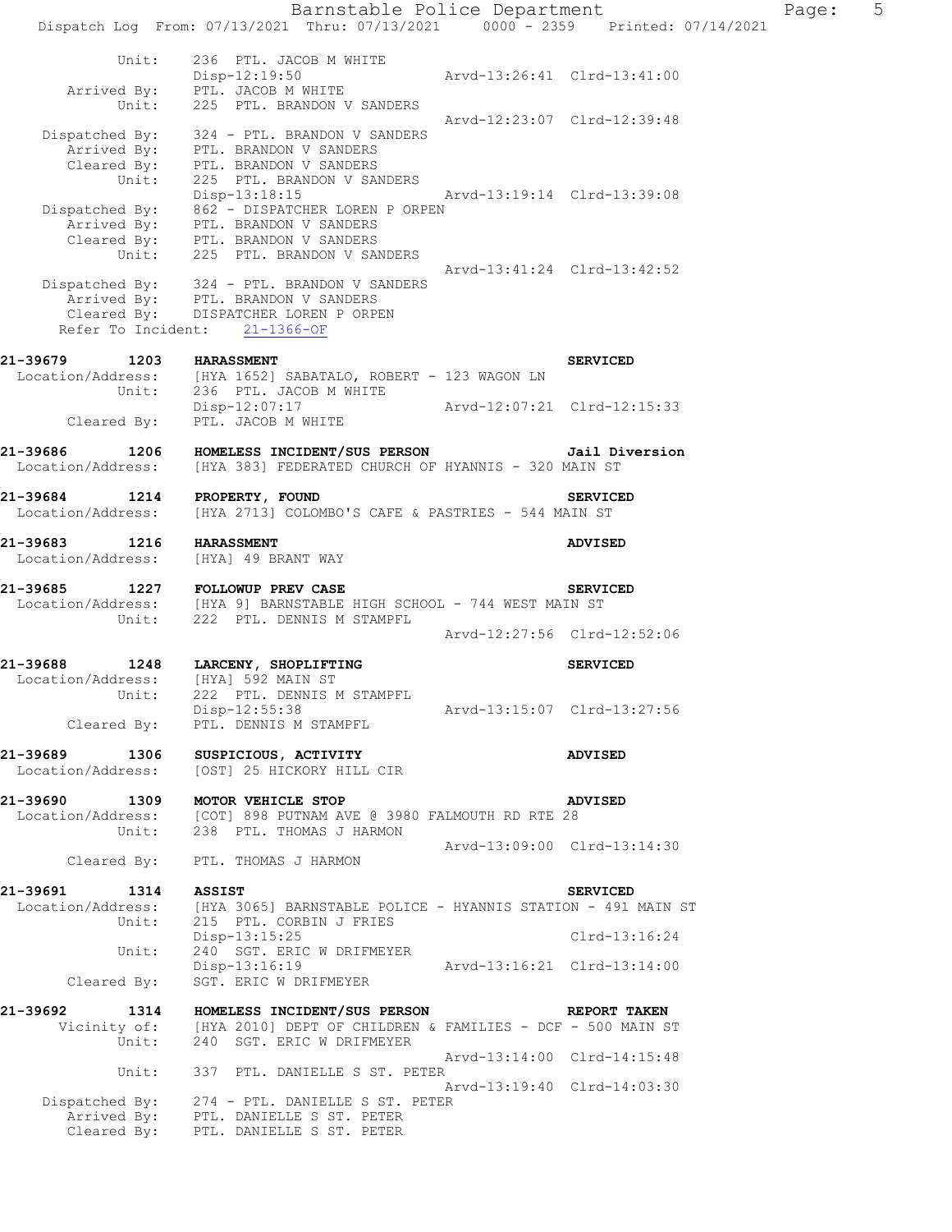Dispatch Log From: 07/13/2021 Thru: 07/13/2021 0000 - 2359 Printed: 07/14/2021 Unit: 236 PTL. JACOB M WHITE<br>Disp-12:19:50 Disp-12:19:50 Arvd-13:26:41 Clrd-13:41:00 Arrived By: PTL. JACOB M WHITE Unit: 225 PTL. BRANDON V SANDERS Arvd-12:23:07 Clrd-12:39:48 Dispatched By: 324 - PTL. BRANDON V SANDERS Arrived By: PTL. BRANDON V SANDERS Cleared By: PTL. BRANDON V SANDERS Unit: 225 PTL. BRANDON V SANDERS Unit: 225 PTL. BRANDON V SANDERS<br>Disp-13:18:15 Arvd-13:19:14 C1rd-13:39:08 Dispatched By: 862 - DISPATCHER LOREN P ORPEN Arrived By: PTL. BRANDON V SANDERS Cleared By: PTL. BRANDON V SANDERS Unit: 225 PTL. BRANDON V SANDERS Arvd-13:41:24 Clrd-13:42:52 Dispatched By: 324 - PTL. BRANDON V SANDERS Arrived By: PTL. BRANDON V SANDERS Cleared By: DISPATCHER LOREN P ORPEN Refer To Incident: 21-1366-OF **21-39679 1203 HARASSMENT SERVICED**  Location/Address: [HYA 1652] SABATALO, ROBERT - 123 WAGON LN Unit: 236 PTL. JACOB M WHITE Disp-12:07:17 Arvd-12:07:21 Clrd-12:15:33 Cleared By: PTL. JACOB M WHITE **21-39686 1206 HOMELESS INCIDENT/SUS PERSON Jail Diversion**  Location/Address: [HYA 383] FEDERATED CHURCH OF HYANNIS - 320 MAIN ST **21-39684 1214 PROPERTY, FOUND SERVICED**  Location/Address: [HYA 2713] COLOMBO'S CAFE & PASTRIES - 544 MAIN ST **21-39683 1216 HARASSMENT ADVISED**  Location/Address: [HYA] 49 BRANT WAY **21-39685 1227 FOLLOWUP PREV CASE SERVICED**  Location/Address: [HYA 9] BARNSTABLE HIGH SCHOOL - 744 WEST MAIN ST Unit: 222 PTL. DENNIS M STAMPFL Arvd-12:27:56 Clrd-12:52:06 **21-39688 1248 LARCENY, SHOPLIFTING SERVICED**  Location/Address: [HYA] 592 MAIN ST Unit: 222 PTL. DENNIS M STAMPFL Disp-12:55:38 Arvd-13:15:07 Clrd-13:27:56 Cleared By: PTL. DENNIS M STAMPFL **21-39689 1306 SUSPICIOUS, ACTIVITY ADVISED**  Location/Address: [OST] 25 HICKORY HILL CIR **21-39690 1309 MOTOR VEHICLE STOP ADVISED**  Location/Address: [COT] 898 PUTNAM AVE @ 3980 FALMOUTH RD RTE 28 Unit: 238 PTL. THOMAS J HARMON Arvd-13:09:00 Clrd-13:14:30 Cleared By: PTL. THOMAS J HARMON **21-39691 1314 ASSIST SERVICED**  Location/Address: [HYA 3065] BARNSTABLE POLICE - HYANNIS STATION - 491 MAIN ST Unit: 215 PTL. CORBIN J FRIES Disp-13:15:25 Clrd-13:16:24 Unit: 240<sup>'</sup> SGT. ERIC W DRIFMEYER<br>Disp-13:16:19 Disp-13:16:19 Arvd-13:16:21 Clrd-13:14:00 Cleared By: SGT. ERIC W DRIFMEYER **21-39692 1314 HOMELESS INCIDENT/SUS PERSON REPORT TAKEN**  Vicinity of: [HYA 2010] DEPT OF CHILDREN & FAMILIES - DCF - 500 MAIN ST Unit: 240 SGT. ERIC W DRIFMEYER Arvd-13:14:00 Clrd-14:15:48 Unit: 337 PTL. DANIELLE S ST. PETER Arvd-13:19:40 Clrd-14:03:30 Dispatched By: 274 - PTL. DANIELLE S ST. PETER Arrived By: PTL. DANIELLE S ST. PETER Cleared By: PTL. DANIELLE S ST. PETER

Barnstable Police Department Page: 5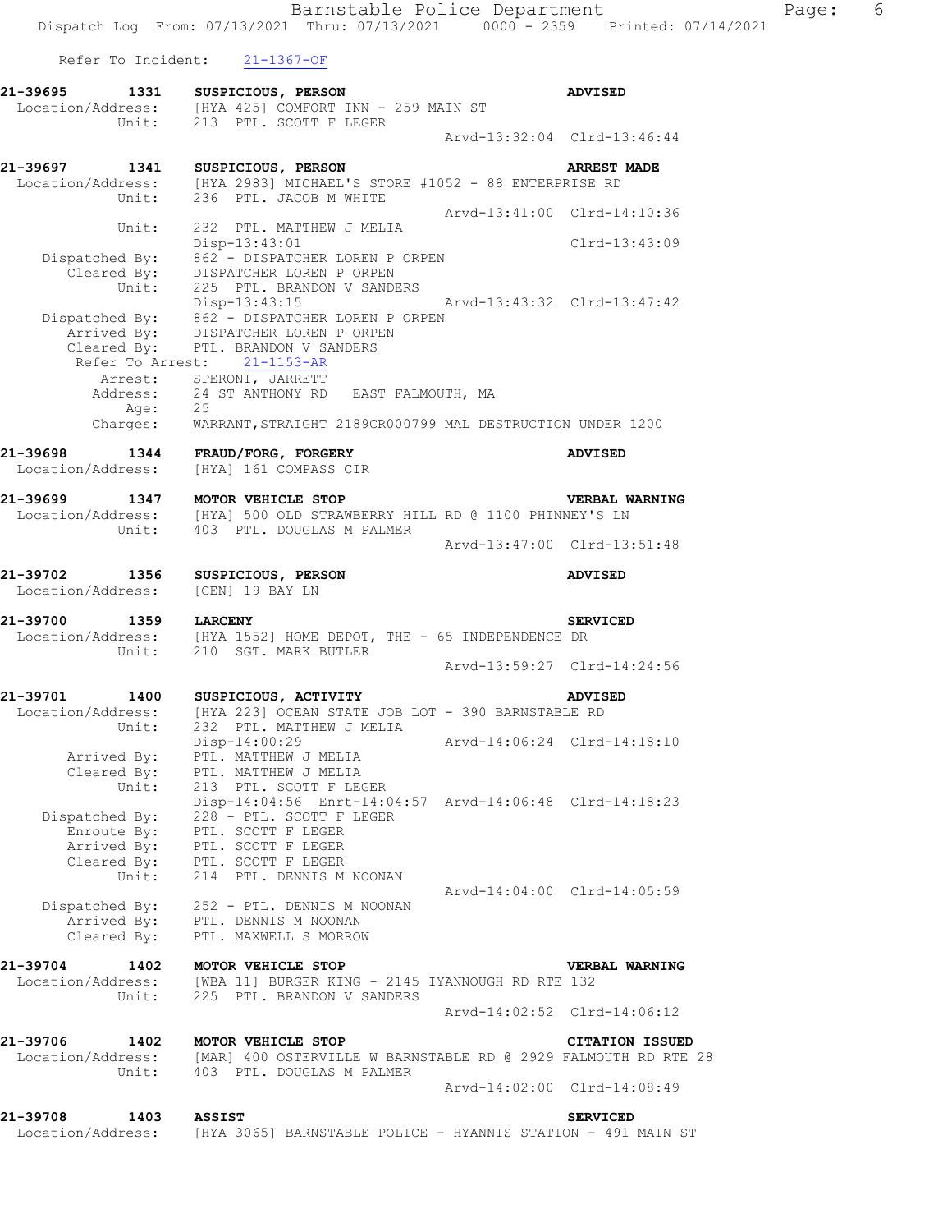Barnstable Police Department Fage: 6 Dispatch Log From: 07/13/2021 Thru: 07/13/2021 0000 - 2359 Printed: 07/14/2021 Refer To Incident: 21-1367-OF **21-39695 1331 SUSPICIOUS, PERSON ADVISED**  Location/Address: [HYA 425] COMFORT INN - 259 MAIN ST Unit: 213 PTL. SCOTT F LEGER Arvd-13:32:04 Clrd-13:46:44 **21-39697 1341 SUSPICIOUS, PERSON ARREST MADE**  Location/Address: [HYA 2983] MICHAEL'S STORE #1052 - 88 ENTERPRISE RD Unit: 236 PTL. JACOB M WHITE Arvd-13:41:00 Clrd-14:10:36 Unit: 232 PTL. MATTHEW J MELIA Disp-13:43:01 Clrd-13:43:09 Dispatched By: 862 - DISPATCHER LOREN P ORPEN Cleared By: DISPATCHER LOREN P ORPEN Unit: 225 PTL. BRANDON V SANDERS Disp-13:43:15 Arvd-13:43:32 Clrd-13:47:42 Dispatched By: 862 - DISPATCHER LOREN P ORPEN Arrived By: DISPATCHER LOREN P ORPEN Cleared By: PTL. BRANDON V SANDERS Refer To Arrest: 21-1153-AR Arrest: SPERONI, JARRETT Address: 24 ST ANTHONY RD EAST FALMOUTH, MA Age: 25 Charges: WARRANT,STRAIGHT 2189CR000799 MAL DESTRUCTION UNDER 1200 **21-39698 1344 FRAUD/FORG, FORGERY ADVISED**  Location/Address: [HYA] 161 COMPASS CIR **21-39699 1347 MOTOR VEHICLE STOP VERBAL WARNING**  Location/Address: [HYA] 500 OLD STRAWBERRY HILL RD @ 1100 PHINNEY'S LN Unit: 403 PTL. DOUGLAS M PALMER Arvd-13:47:00 Clrd-13:51:48 **21-39702 1356 SUSPICIOUS, PERSON ADVISED**  Location/Address: [CEN] 19 BAY LN **21-39700 1359 LARCENY SERVICED**  Location/Address: [HYA 1552] HOME DEPOT, THE - 65 INDEPENDENCE DR Unit: 210 SGT. MARK BUTLER Arvd-13:59:27 Clrd-14:24:56 **21-39701 1400 SUSPICIOUS, ACTIVITY ADVISED**  Location/Address: [HYA 223] OCEAN STATE JOB LOT - 390 BARNSTABLE RD Unit: 232 PTL. MATTHEW J MELIA Disp-14:00:29 Arvd-14:06:24 Clrd-14:18:10 Arrived By: PTL. MATTHEW J MELIA Cleared By: PTL. MATTHEW J MELIA Unit: 213 PTL. SCOTT F LEGER Disp-14:04:56 Enrt-14:04:57 Arvd-14:06:48 Clrd-14:18:23 Dispatched By: 228 - PTL. SCOTT F LEGER Enroute By: PTL. SCOTT F LEGER Arrived By: PTL. SCOTT F LEGER Cleared By: PTL. SCOTT F LEGER Unit: 214 PTL. DENNIS M NOONAN Arvd-14:04:00 Clrd-14:05:59 Dispatched By: 252 - PTL. DENNIS M NOONAN Arrived By: PTL. DENNIS M NOONAN Cleared By: PTL. MAXWELL S MORROW **21-39704 1402 MOTOR VEHICLE STOP VERBAL WARNING**  Location/Address: [WBA 11] BURGER KING - 2145 IYANNOUGH RD RTE 132 Unit: 225 PTL. BRANDON V SANDERS Arvd-14:02:52 Clrd-14:06:12 **21-39706 1402 MOTOR VEHICLE STOP CITATION ISSUED**  Location/Address: [MAR] 400 OSTERVILLE W BARNSTABLE RD @ 2929 FALMOUTH RD RTE 28 Unit: 403 PTL. DOUGLAS M PALMER Arvd-14:02:00 Clrd-14:08:49 **21-39708 1403 ASSIST SERVICED**  Location/Address: [HYA 3065] BARNSTABLE POLICE - HYANNIS STATION - 491 MAIN ST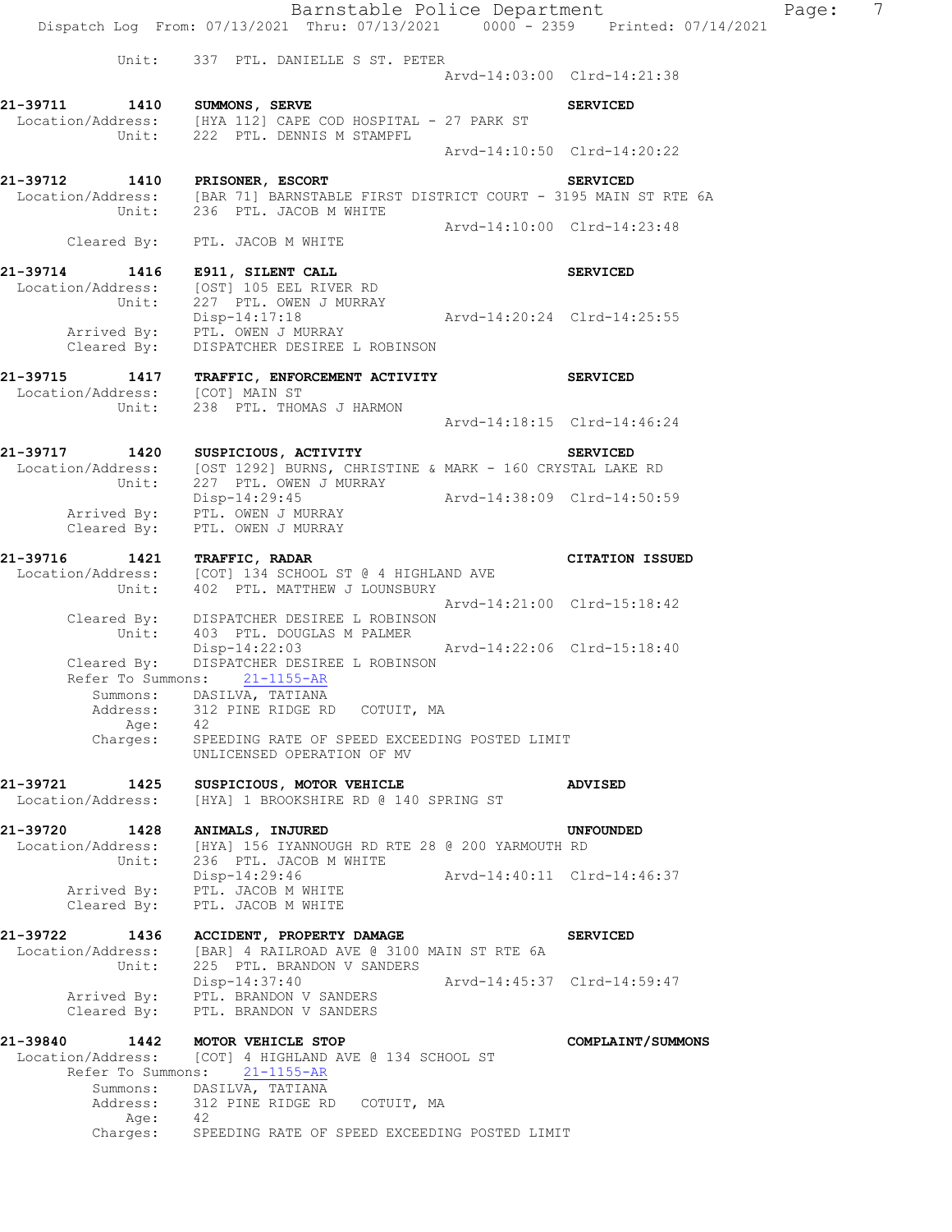Barnstable Police Department Page: 7 Dispatch Log From: 07/13/2021 Thru: 07/13/2021 0000 - 2359 Printed: 07/14/2021 Unit: 337 PTL. DANIELLE S ST. PETER Arvd-14:03:00 Clrd-14:21:38 **21-39711 1410 SUMMONS, SERVE SERVICED**  Location/Address: [HYA 112] CAPE COD HOSPITAL - 27 PARK ST Unit: 222 PTL. DENNIS M STAMPFL Arvd-14:10:50 Clrd-14:20:22 **21-39712 1410 PRISONER, ESCORT SERVICED**  [BAR 71] BARNSTABLE FIRST DISTRICT COURT - 3195 MAIN ST RTE 6A Unit: 236 PTL. JACOB M WHITE Arvd-14:10:00 Clrd-14:23:48 Cleared By: PTL. JACOB M WHITE **21-39714 1416 E911, SILENT CALL SERVICED**  Location/Address: [OST] 105 EEL RIVER RD Unit: 227 PTL. OWEN J MURRAY Disp-14:17:18 Arvd-14:20:24 Clrd-14:25:55 Arrived By: PTL. OWEN J MURRAY Cleared By: DISPATCHER DESIREE L ROBINSON **21-39715 1417 TRAFFIC, ENFORCEMENT ACTIVITY SERVICED**  Location/Address: [COT] MAIN ST Unit: 238 PTL. THOMAS J HARMON Arvd-14:18:15 Clrd-14:46:24 **21-39717 1420 SUSPICIOUS, ACTIVITY SERVICED**  Location/Address: [OST 1292] BURNS, CHRISTINE & MARK - 160 CRYSTAL LAKE RD Unit: 227 PTL. OWEN J MURRAY Disp-14:29:45 Arvd-14:38:09 Clrd-14:50:59 Arrived By: PTL. OWEN J MURRAY Cleared By: PTL. OWEN J MURRAY **21-39716 1421 TRAFFIC, RADAR CITATION ISSUED**  Location/Address: [COT] 134 SCHOOL ST @ 4 HIGHLAND AVE Unit: 402 PTL. MATTHEW J LOUNSBURY Arvd-14:21:00 Clrd-15:18:42 Cleared By: DISPATCHER DESIREE L ROBINSON Unit: 403 PTL. DOUGLAS M PALMER Disp-14:22:03 Arvd-14:22:06 Clrd-15:18:40 Cleared By: DISPATCHER DESIREE L ROBINSON Refer To Summons: 21-1155-AR Summons: DASILVA, TATIANA Address: 312 PINE RIDGE RD COTUIT, MA Age: 42<br>Charges: SPE SPEEDING RATE OF SPEED EXCEEDING POSTED LIMIT UNLICENSED OPERATION OF MV **21-39721 1425 SUSPICIOUS, MOTOR VEHICLE ADVISED**  Location/Address: [HYA] 1 BROOKSHIRE RD @ 140 SPRING ST **21-39720 1428 ANIMALS, INJURED UNFOUNDED**  Location/Address: [HYA] 156 IYANNOUGH RD RTE 28 @ 200 YARMOUTH RD Unit: 236 PTL. JACOB M WHITE Disp-14:29:46 Arvd-14:40:11 Clrd-14:46:37 Arrived By: PTL. JACOB M WHITE Cleared By: PTL. JACOB M WHITE **21-39722 1436 ACCIDENT, PROPERTY DAMAGE SERVICED**  Location/Address: [BAR] 4 RAILROAD AVE @ 3100 MAIN ST RTE 6A Unit: 225 PTL. BRANDON V SANDERS Disp-14:37:40 Arvd-14:45:37 Clrd-14:59:47 Arrived By: PTL. BRANDON V SANDERS Cleared By: PTL. BRANDON V SANDERS **21-39840 1442 MOTOR VEHICLE STOP COMPLAINT/SUMMONS**  Location/Address: [COT] 4 HIGHLAND AVE @ 134 SCHOOL ST Refer To Summons: 21-1155-AR Summons: DASILVA, TATIANA Address: 312 PINE RIDGE RD COTUIT, MA Age: 42<br>Charges: SPE

SPEEDING RATE OF SPEED EXCEEDING POSTED LIMIT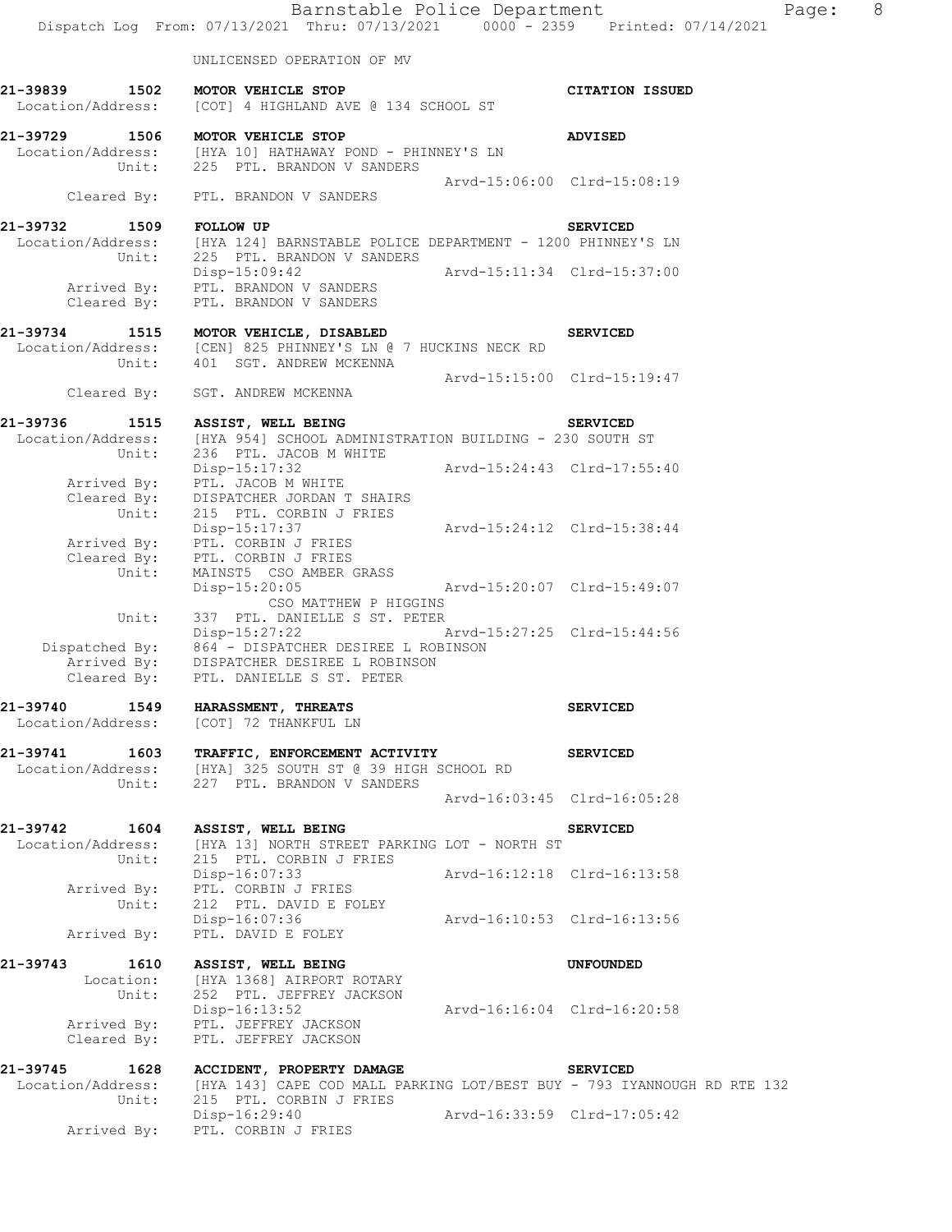|                                                               | Barnstable Police Department<br>Dispatch Log From: 07/13/2021 Thru: 07/13/2021 0000 - 2359 Printed: 07/14/2021                                                                        |                             |                                                | 8<br>Page: |
|---------------------------------------------------------------|---------------------------------------------------------------------------------------------------------------------------------------------------------------------------------------|-----------------------------|------------------------------------------------|------------|
|                                                               | UNLICENSED OPERATION OF MV                                                                                                                                                            |                             |                                                |            |
| 21-39839 1502<br>Location/Address:                            | MOTOR VEHICLE STOP<br>[COT] 4 HIGHLAND AVE @ 134 SCHOOL ST                                                                                                                            |                             | <b>CITATION ISSUED</b>                         |            |
| 21-39729                                                      | 1506 MOTOR VEHICLE STOP<br>Location/Address: [HYA 10] HATHAWAY POND - PHINNEY'S LN<br>Unit: 225 PTL. BRANDON V SANDERS                                                                |                             | <b>ADVISED</b>                                 |            |
| Cleared By:                                                   | PTL. BRANDON V SANDERS                                                                                                                                                                |                             | Arvd-15:06:00 Clrd-15:08:19                    |            |
| 21-39732 1509 FOLLOW UP                                       | Location/Address: [HYA 124] BARNSTABLE POLICE DEPARTMENT - 1200 PHINNEY'S LN<br>Unit: 225 PTL. BRANDON V SANDERS                                                                      |                             | <b>SERVICED</b>                                |            |
| Cleared By:                                                   | Disp-15:09:42<br>Arrived By: PTL. BRANDON V SANDERS<br>PTL. BRANDON V SANDERS                                                                                                         |                             |                                                |            |
| 21-39734                                                      | 1515 MOTOR VEHICLE, DISABLED<br>Location/Address: [CEN] 825 PHINNEY'S LN @ 7 HUCKINS NECK RD<br>Unit: 401 SGT. ANDREW MCKENNA                                                         |                             | <b>SERVICED</b>                                |            |
| Cleared By:                                                   | SGT. ANDREW MCKENNA                                                                                                                                                                   |                             | Arvd-15:15:00 Clrd-15:19:47                    |            |
| 21-39736                                                      | 1515 ASSIST, WELL BEING<br>Location/Address: [HYA 954] SCHOOL ADMINISTRATION BUILDING - 230 SOUTH ST<br>Unit: 236 PTL. JACOB M WHITE                                                  |                             | <b>SERVICED</b>                                |            |
|                                                               | Disp-15:17:32 Arvd-15:24:43 Clrd-17:55:40<br>Arrived By: PTL. JACOB M WHITE<br>Cleared By: DISPATCHER JORDAN T SHAIRS                                                                 |                             |                                                |            |
| Unit:                                                         | 215 PTL. CORBIN J FRIES<br>Disp-15:17:37<br>Arrived By: PTL. CORBIN J FRIES<br>Cleared By: PTL. CORBIN J FRIES                                                                        | Arvd-15:24:12 Clrd-15:38:44 |                                                |            |
| Unit:<br>Unit:                                                | MAINST5 CSO AMBER GRASS<br>Disp-15:20:05<br>CSO MATTHEW P HIGGINS<br>337 PTL. DANIELLE S ST. PETER                                                                                    | Arvd-15:20:07 Clrd-15:49:07 |                                                |            |
|                                                               | Disp-15:27:22 Arvd-15:27:25 Clrd-15:44:56<br>Dispatched By: 864 - DISPATCHER DESIREE L ROBINSON<br>Arrived By: DISPATCHER DESIREE L ROBINSON<br>Cleared By: PTL. DANIELLE S ST. PETER |                             |                                                |            |
| 21-39740 1549<br>Location/Address:                            | HARASSMENT, THREATS<br>[COT] 72 THANKFUL LN                                                                                                                                           |                             | <b>SERVICED</b>                                |            |
| 21-39741<br>1603<br>Unit:                                     | TRAFFIC, ENFORCEMENT ACTIVITY<br>Location/Address: [HYA] 325 SOUTH ST @ 39 HIGH SCHOOL RD<br>227 PTL. BRANDON V SANDERS                                                               |                             | <b>SERVICED</b>                                |            |
|                                                               |                                                                                                                                                                                       |                             | Arvd-16:03:45 Clrd-16:05:28                    |            |
| 21-39742 1604<br>Unit:                                        | ASSIST, WELL BEING<br>Location/Address: [HYA 13] NORTH STREET PARKING LOT - NORTH ST<br>215 PTL. CORBIN J FRIES                                                                       |                             | <b>SERVICED</b>                                |            |
| Unit:                                                         | Disp-16:07:33<br>Arrived By: PTL. CORBIN J FRIES<br>212 PTL. DAVID E FOLEY                                                                                                            |                             | Arvd-16:12:18 Clrd-16:13:58                    |            |
| Arrived By:                                                   | Disp-16:07:36<br>PTL. DAVID E FOLEY                                                                                                                                                   |                             | Arvd-16:10:53 Clrd-16:13:56                    |            |
| 21-39743<br>1610<br>Location:<br>Arrived By:<br>Cleared By:   | ASSIST, WELL BEING<br>[HYA 1368] AIRPORT ROTARY<br>Unit: 252 PTL. JEFFREY JACKSON<br>$Disp-16:13:52$<br>PTL. JEFFREY JACKSON<br>PTL. JEFFREY JACKSON                                  |                             | UNFOUNDED<br>Arvd-16:16:04 Clrd-16:20:58       |            |
| 21-39745<br>1628<br>Location/Address:<br>Unit:<br>Arrived By: | ACCIDENT, PROPERTY DAMAGE<br>[HYA 143] CAPE COD MALL PARKING LOT/BEST BUY - 793 IYANNOUGH RD RTE 132<br>215 PTL. CORBIN J FRIES<br>Disp-16:29:40<br>PTL. CORBIN J FRIES               |                             | <b>SERVICED</b><br>Arvd-16:33:59 Clrd-17:05:42 |            |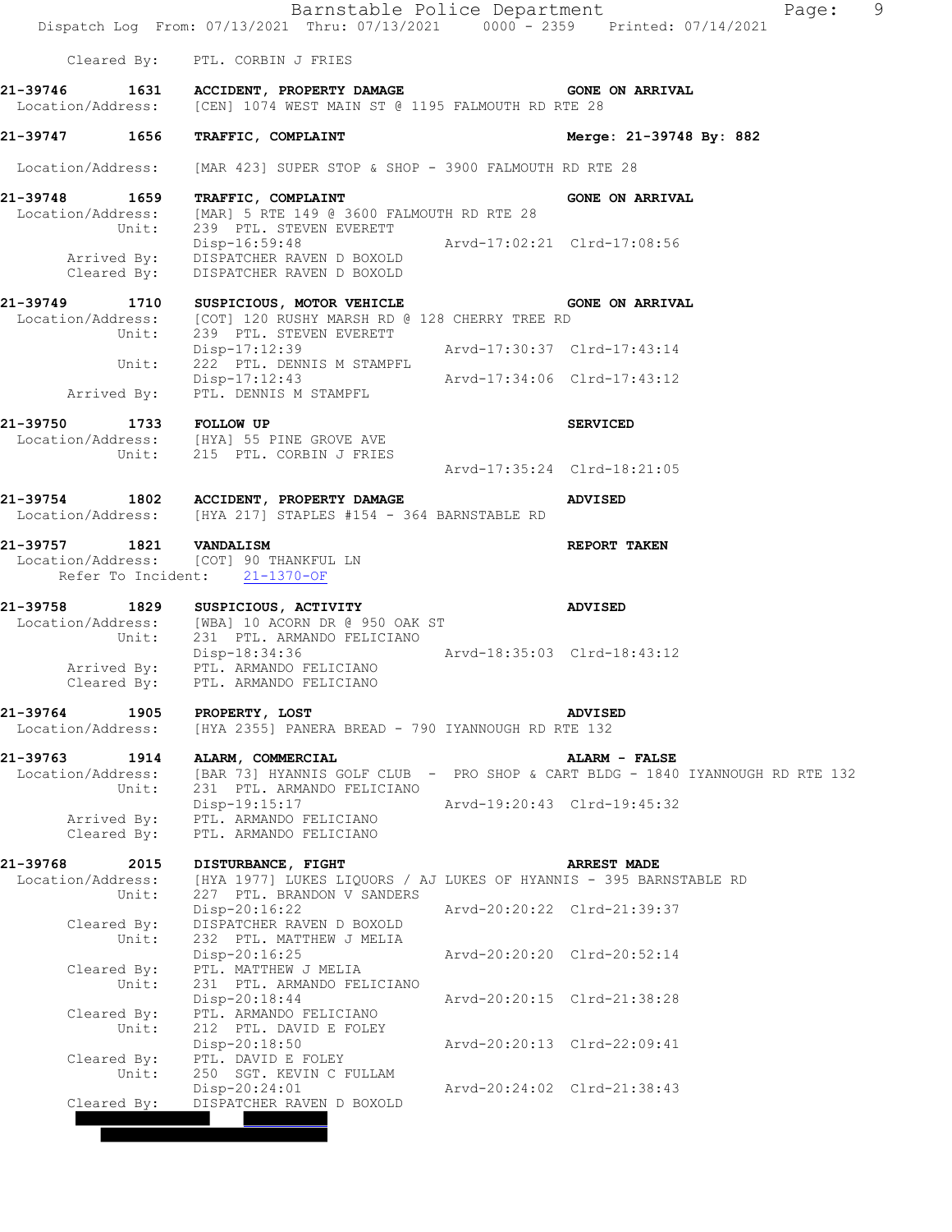|                                                | Barnstable Police Department<br>Dispatch Log From: 07/13/2021 Thru: 07/13/2021 0000 - 2359 Printed: 07/14/2021                 |                             | 9<br>Page:                                                                                     |
|------------------------------------------------|--------------------------------------------------------------------------------------------------------------------------------|-----------------------------|------------------------------------------------------------------------------------------------|
|                                                | Cleared By: PTL. CORBIN J FRIES                                                                                                |                             |                                                                                                |
|                                                | 21-39746 1631 ACCIDENT, PROPERTY DAMAGE GONE ON ARRIVAL<br>Location/Address: [CEN] 1074 WEST MAIN ST @ 1195 FALMOUTH RD RTE 28 |                             |                                                                                                |
| 21-39747 1656 TRAFFIC, COMPLAINT               |                                                                                                                                |                             | Merge: 21-39748 By: 882                                                                        |
| Location/Address:                              | [MAR 423] SUPER STOP & SHOP - 3900 FALMOUTH RD RTE 28                                                                          |                             |                                                                                                |
| 21-39748 1659<br>Unit:                         | TRAFFIC, COMPLAINT<br>Location/Address: [MAR] 5 RTE 149 @ 3600 FALMOUTH RD RTE 28<br>239 PTL. STEVEN EVERETT                   |                             | <b>GONE ON ARRIVAL</b>                                                                         |
| Cleared By:                                    | Disp-16:59:48<br>Arrived By: DISPATCHER RAVEN D BOXOLD<br>DISPATCHER RAVEN D BOXOLD                                            | Arvd-17:02:21 Clrd-17:08:56 |                                                                                                |
|                                                | 21-39749 1710 SUSPICIOUS, MOTOR VEHICLE<br>Location/Address: [COT] 120 RUSHY MARSH RD @ 128 CHERRY TREE RD                     |                             | <b>GONE ON ARRIVAL</b>                                                                         |
|                                                | Unit: 239 PTL. STEVEN EVERETT<br>Disp-17:12:39                                                                                 | Arvd-17:30:37 Clrd-17:43:14 |                                                                                                |
| Unit:<br>Arrived By:                           | 222 PTL. DENNIS M STAMPFL<br>--- 1, 12:43<br>PTL. DENNIS M STAMPFL Arvd-17:34:06 Clrd-17:43:12                                 |                             |                                                                                                |
| 21-39750 1733 FOLLOW UP                        | Location/Address: [HYA] 55 PINE GROVE AVE                                                                                      |                             | <b>SERVICED</b>                                                                                |
|                                                | Unit: 215 PTL. CORBIN J FRIES                                                                                                  | Arvd-17:35:24 Clrd-18:21:05 |                                                                                                |
|                                                | 21-39754 1802 ACCIDENT, PROPERTY DAMAGE<br>Location/Address: [HYA 217] STAPLES #154 - 364 BARNSTABLE RD                        |                             | ADVISED                                                                                        |
| 21-39757 1821 VANDALISM                        | Location/Address: [COT] 90 THANKFUL LN<br>Refer To Incident: 21-1370-OF                                                        |                             | REPORT TAKEN                                                                                   |
| Unit:                                          | 21-39758 1829 SUSPICIOUS, ACTIVITY<br>Location/Address: [WBA] 10 ACORN DR @ 950 OAK ST<br>231 PTL. ARMANDO FELICIANO           |                             | <b>ADVISED</b>                                                                                 |
|                                                | Disp-18:34:36<br>Arrived By: PTL. ARMANDO FELICIANO<br>Cleared By: PTL. ARMANDO FELICIANO                                      | Arvd-18:35:03 Clrd-18:43:12 |                                                                                                |
| 21-39764<br>1905<br>Location/Address:          | PROPERTY, LOST<br>[HYA 2355] PANERA BREAD - 790 IYANNOUGH RD RTE 132                                                           |                             | <b>ADVISED</b>                                                                                 |
| 21-39763 1914<br>Location/Address:<br>Unit:    | ALARM, COMMERCIAL<br>231 PTL. ARMANDO FELICIANO                                                                                |                             | ALARM - FALSE<br>[BAR 73] HYANNIS GOLF CLUB - PRO SHOP & CART BLDG - 1840 IYANNOUGH RD RTE 132 |
| Arrived By:<br>Cleared By:                     | Disp-19:15:17<br>PTL. ARMANDO FELICIANO<br>PTL. ARMANDO FELICIANO                                                              |                             | Arvd-19:20:43 Clrd-19:45:32                                                                    |
| 21-39768<br>2015<br>Location/Address:<br>Unit: | DISTURBANCE, FIGHT<br>[HYA 1977] LUKES LIQUORS / AJ LUKES OF HYANNIS - 395 BARNSTABLE RD<br>227 PTL. BRANDON V SANDERS         |                             | <b>ARREST MADE</b>                                                                             |
| Cleared By:                                    | Disp-20:16:22<br>DISPATCHER RAVEN D BOXOLD                                                                                     |                             | Arvd-20:20:22 Clrd-21:39:37                                                                    |
| Unit:<br>Cleared By:                           | 232 PTL. MATTHEW J MELIA<br>$Disp-20:16:25$<br>PTL. MATTHEW J MELIA                                                            |                             | Arvd-20:20:20 Clrd-20:52:14                                                                    |
| Unit:<br>Cleared By:                           | 231 PTL. ARMANDO FELICIANO<br>$Disp-20:18:44$<br>PTL. ARMANDO FELICIANO                                                        |                             | Arvd-20:20:15 Clrd-21:38:28                                                                    |
| Unit:<br>Cleared By:                           | 212 PTL. DAVID E FOLEY<br>Disp-20:18:50<br>PTL. DAVID E FOLEY                                                                  |                             | Arvd-20:20:13 Clrd-22:09:41                                                                    |
| Unit:<br>Cleared By:                           | 250 SGT. KEVIN C FULLAM<br>$Disp-20:24:01$<br>DISPATCHER RAVEN D BOXOLD                                                        |                             | Arvd-20:24:02 Clrd-21:38:43                                                                    |
|                                                |                                                                                                                                |                             |                                                                                                |